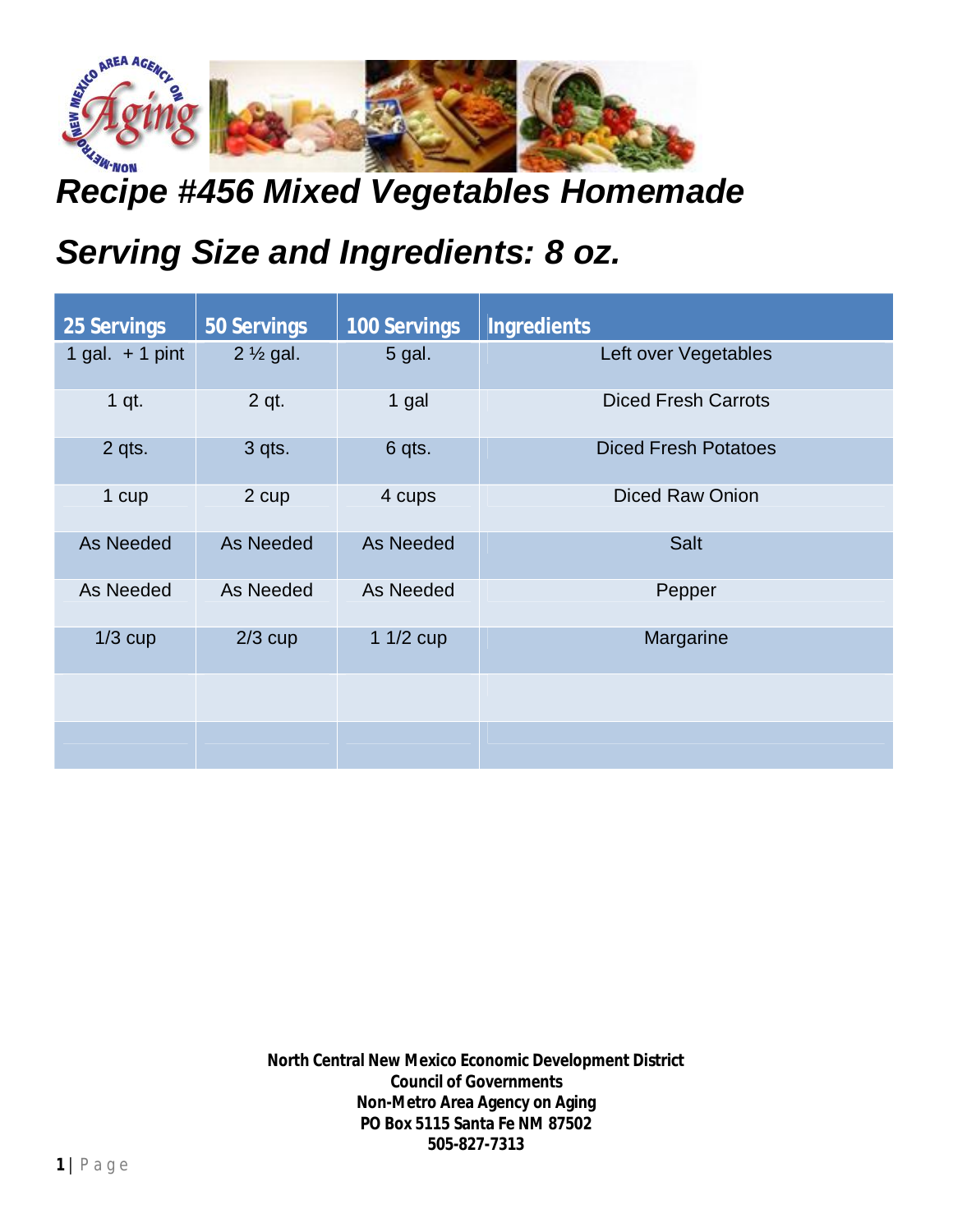

## *Recipe #456 Mixed Vegetables Homemade*

## *Serving Size and Ingredients: 8 oz.*

| <b>25 Servings</b> | <b>50 Servings</b>  | <b>100 Servings</b> | <b>Ingredients</b>          |
|--------------------|---------------------|---------------------|-----------------------------|
| 1 gal. $+$ 1 pint  | $2\frac{1}{2}$ gal. | 5 gal.              | Left over Vegetables        |
| 1 qt.              | 2 qt.               | 1 gal               | <b>Diced Fresh Carrots</b>  |
| 2 qts.             | 3 qts.              | 6 qts.              | <b>Diced Fresh Potatoes</b> |
| 1 cup              | 2 cup               | 4 cups              | <b>Diced Raw Onion</b>      |
| As Needed          | As Needed           | As Needed           | <b>Salt</b>                 |
| As Needed          | As Needed           | As Needed           | Pepper                      |
| $1/3$ cup          | $2/3$ cup           | 1 $1/2$ cup         | Margarine                   |
|                    |                     |                     |                             |
|                    |                     |                     |                             |

**North Central New Mexico Economic Development District Council of Governments Non-Metro Area Agency on Aging PO Box 5115 Santa Fe NM 87502 505-827-7313**